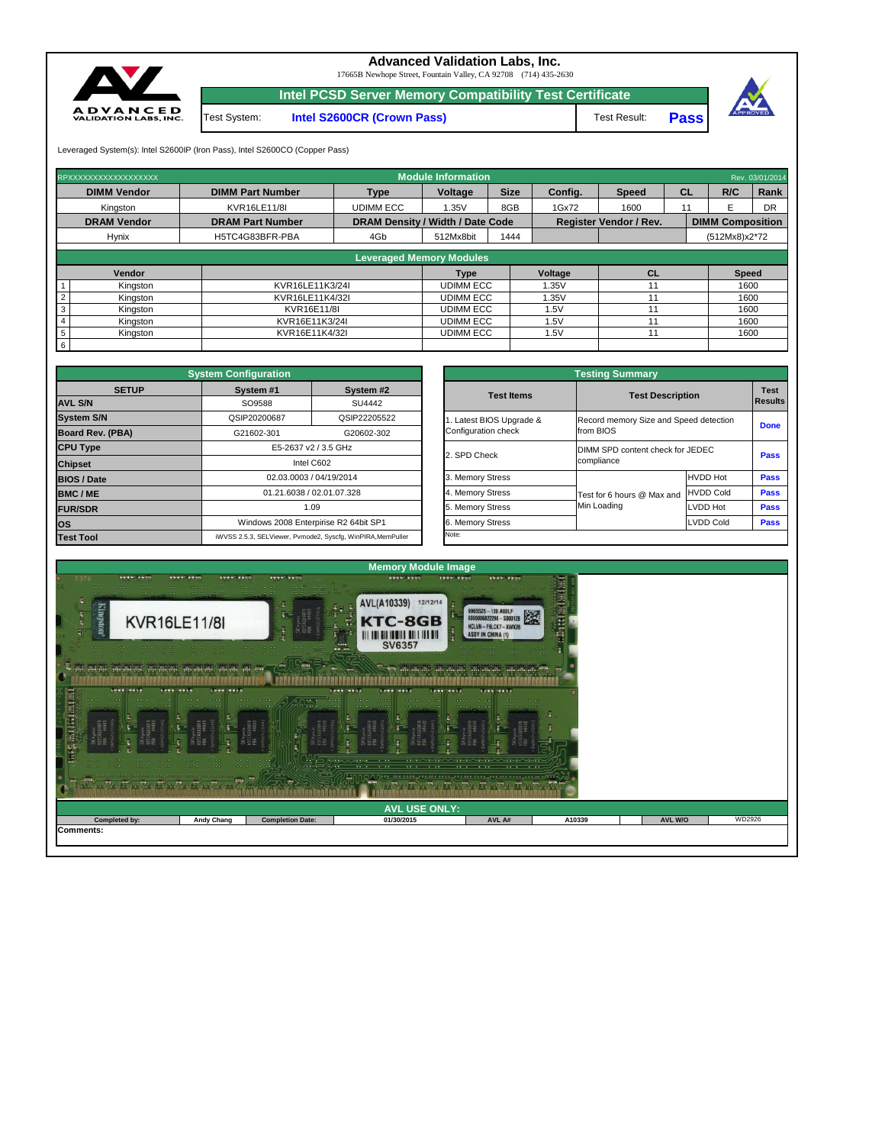| $\begin{array}{cccccccccccccc} \bullet & \bullet & \bullet & \bullet & \bullet & \bullet & \bullet \end{array}$<br>$999.91$ $19.99$<br>SES SECONDELLA DE PICCIA SECO. COO COO COO COO COO COO COO.<br>and the first state of the company of the state of the company of the company of the company of the state of the company of the | <b>CALCULATION</b><br>ST. SEP S. ST. SEP 40 ST. SEP 40 SS. | the contract of the contract of the contract of<br>- - -<br>$\begin{array}{cccccccccccccc} \multicolumn{4}{c }{\multicolumn{3}{c }{\multicolumn{3}{c }{\multicolumn{3}{c }{\multicolumn{3}{c }{\multicolumn{3}{c }{\multicolumn{3}{c }{\multicolumn{3}{c }{\multicolumn{3}{c }{\multicolumn{3}{c }{\multicolumn{3}{c }{\multicolumn{3}{c }{\multicolumn{3}{c }{\multicolumn{3}{c }{\multicolumn{3}{c }{\multicolumn{3}{c }{\multicolumn{3}{c }{\multicolumn{3}{c }{\multicolumn{3}{c }{\multicolumn{3}{c }{\multicolumn{3}{c }{$ | <b>Continued and Continued Continued Continued Continued Continued Continued Continued Continued Continued Continued Continued Continued Continued Continued Continued Continued Continued Continued Continued Continued Continu</b><br>$\cdots$<br>$\cdots$<br>$-1$<br>$\cdots$ | The process and the company of the control of the control of the control of the control of the control of the control of the control of the control of the control of the control of the control of the control of the control |        |         |        |  |  |  |
|---------------------------------------------------------------------------------------------------------------------------------------------------------------------------------------------------------------------------------------------------------------------------------------------------------------------------------------|------------------------------------------------------------|----------------------------------------------------------------------------------------------------------------------------------------------------------------------------------------------------------------------------------------------------------------------------------------------------------------------------------------------------------------------------------------------------------------------------------------------------------------------------------------------------------------------------------|----------------------------------------------------------------------------------------------------------------------------------------------------------------------------------------------------------------------------------------------------------------------------------|--------------------------------------------------------------------------------------------------------------------------------------------------------------------------------------------------------------------------------|--------|---------|--------|--|--|--|
| <b>AVL USE ONLY:</b>                                                                                                                                                                                                                                                                                                                  |                                                            |                                                                                                                                                                                                                                                                                                                                                                                                                                                                                                                                  |                                                                                                                                                                                                                                                                                  |                                                                                                                                                                                                                                |        |         |        |  |  |  |
| <b>Completed by:</b>                                                                                                                                                                                                                                                                                                                  | <b>Andy Chang</b>                                          | <b>Completion Date:</b>                                                                                                                                                                                                                                                                                                                                                                                                                                                                                                          | 01/30/2015                                                                                                                                                                                                                                                                       | AVL A#                                                                                                                                                                                                                         | A10339 | AVL W/O | WD2926 |  |  |  |
| Comments:                                                                                                                                                                                                                                                                                                                             |                                                            |                                                                                                                                                                                                                                                                                                                                                                                                                                                                                                                                  |                                                                                                                                                                                                                                                                                  |                                                                                                                                                                                                                                |        |         |        |  |  |  |



6



| <b>Testing Summary</b>                          |                            |                                        |             |  |  |  |  |  |  |
|-------------------------------------------------|----------------------------|----------------------------------------|-------------|--|--|--|--|--|--|
| <b>Test Items</b>                               |                            | <b>Test Description</b>                |             |  |  |  |  |  |  |
| 1. Latest BIOS Upgrade &<br>Configuration check | from BIOS                  | Record memory Size and Speed detection |             |  |  |  |  |  |  |
| 2. SPD Check                                    | compliance                 | DIMM SPD content check for JEDEC       |             |  |  |  |  |  |  |
| 3. Memory Stress                                |                            | <b>HVDD Hot</b>                        | <b>Pass</b> |  |  |  |  |  |  |
| 4. Memory Stress                                | Test for 6 hours @ Max and | <b>HVDD Cold</b>                       | <b>Pass</b> |  |  |  |  |  |  |
| 5. Memory Stress                                | Min Loading                | <b>LVDD Hot</b>                        | <b>Pass</b> |  |  |  |  |  |  |
| 6. Memory Stress                                |                            | <b>LVDD Cold</b>                       | <b>Pass</b> |  |  |  |  |  |  |
| Note:                                           |                            |                                        |             |  |  |  |  |  |  |

| RPXXXXXXXXXXXXXXXXXX        |                                 |                                         | <b>Module Information</b> |             |         |                               |    |                         | Rev. 03/01/2014 |  |  |  |
|-----------------------------|---------------------------------|-----------------------------------------|---------------------------|-------------|---------|-------------------------------|----|-------------------------|-----------------|--|--|--|
| <b>DIMM Vendor</b>          | <b>DIMM Part Number</b>         | <b>Type</b>                             | <b>Voltage</b>            | <b>Size</b> | Config. | <b>Speed</b>                  | CL | R/C                     | Rank            |  |  |  |
| Kingston                    | <b>KVR16LE11/8I</b>             | <b>UDIMM ECC</b>                        | 1.35V                     | 8GB         | 1Gx72   | 1600                          | 11 |                         | <b>DR</b>       |  |  |  |
| <b>DRAM Vendor</b>          | <b>DRAM Part Number</b>         | <b>DRAM Density / Width / Date Code</b> |                           |             |         | <b>Register Vendor / Rev.</b> |    | <b>DIMM Composition</b> |                 |  |  |  |
| <b>Hynix</b>                | H5TC4G83BFR-PBA                 | 4Gb                                     | 512Mx8bit                 | 1444        |         |                               |    | (512Mx8)x2*72           |                 |  |  |  |
|                             |                                 |                                         |                           |             |         |                               |    |                         |                 |  |  |  |
|                             | <b>Leveraged Memory Modules</b> |                                         |                           |             |         |                               |    |                         |                 |  |  |  |
| <b>Vendor</b>               |                                 |                                         | <b>Type</b>               |             | Voltage | <b>CL</b>                     |    | <b>Speed</b>            |                 |  |  |  |
| Kingston                    | KVR16LE11K3/24I                 |                                         | <b>UDIMM ECC</b>          |             | 1.35V   |                               |    | 1600                    |                 |  |  |  |
| $\overline{2}$<br>Kingston  | KVR16LE11K4/32I                 |                                         | <b>UDIMM ECC</b>          |             | 1.35V   | 11                            |    | 1600                    |                 |  |  |  |
| $\mathbf{3}$<br>Kingston    | KVR16E11/8I                     |                                         | <b>UDIMM ECC</b>          | 1.5V        |         |                               |    | 1600                    |                 |  |  |  |
| Kingston                    | KVR16E11K3/24I                  |                                         | <b>UDIMM ECC</b>          |             | 1.5V    |                               |    | 1600                    |                 |  |  |  |
| $5\phantom{.0}$<br>Kingston |                                 | KVR16E11K4/32I                          |                           |             | .5V     |                               |    | 1600                    |                 |  |  |  |

|                         | <b>System Configuration</b> |                                                             | <b>Testing Summary</b>           |                            |                                        |                |  |  |  |
|-------------------------|-----------------------------|-------------------------------------------------------------|----------------------------------|----------------------------|----------------------------------------|----------------|--|--|--|
| <b>SETUP</b>            | System #1                   | System #2                                                   | <b>Test Items</b>                | <b>Test Description</b>    |                                        | <b>Test</b>    |  |  |  |
| <b>AVL S/N</b>          | SO9588                      | SU4442                                                      |                                  |                            |                                        | <b>Results</b> |  |  |  |
| <b>System S/N</b>       | QSIP20200687                | QSIP22205522                                                | Latest BIOS Upgrade &            |                            | Record memory Size and Speed detection |                |  |  |  |
| <b>Board Rev. (PBA)</b> | G21602-301                  | G20602-302                                                  | Configuration check<br>from BIOS |                            |                                        | <b>Done</b>    |  |  |  |
| <b>CPU Type</b>         |                             | E5-2637 v2 / 3.5 GHz                                        | 2. SPD Check                     |                            | DIMM SPD content check for JEDEC       |                |  |  |  |
| <b>Chipset</b>          |                             | Intel C602                                                  |                                  | compliance                 |                                        | <b>Pass</b>    |  |  |  |
| <b>BIOS / Date</b>      |                             | 02.03.0003 / 04/19/2014                                     | 3. Memory Stress                 |                            | <b>HVDD Hot</b>                        | <b>Pass</b>    |  |  |  |
| <b>BMC/ME</b>           |                             | 01.21.6038 / 02.01.07.328                                   | . Memory Stress                  | Test for 6 hours @ Max and | <b>HVDD Cold</b>                       | <b>Pass</b>    |  |  |  |
| <b>FUR/SDR</b>          |                             | 1.09                                                        | . Memory Stress<br>15.           | Min Loading                | <b>LVDD Hot</b>                        | <b>Pass</b>    |  |  |  |
| <b>los</b>              |                             | Windows 2008 Enterpirise R2 64bit SP1                       | 6. Memory Stress                 |                            | LVDD Cold                              | <b>Pass</b>    |  |  |  |
| <b>Test Tool</b>        |                             | iWVSS 2.5.3, SELViewer, Pvmode2, Syscfg, WinPIRA, MemPuller | Note:                            |                            |                                        |                |  |  |  |

**Pass**

Test System: **Intel S2600CR (Crown Pass)**

## **Advanced Validation Labs, Inc.**

17665B Newhope Street, Fountain Valley, CA 92708 (714) 435-2630

Leveraged System(s): Intel S2600IP (Iron Pass), Intel S2600CO (Copper Pass)

**Intel PCSD Server Memory Compatibility Test Certificate**

Test Result: